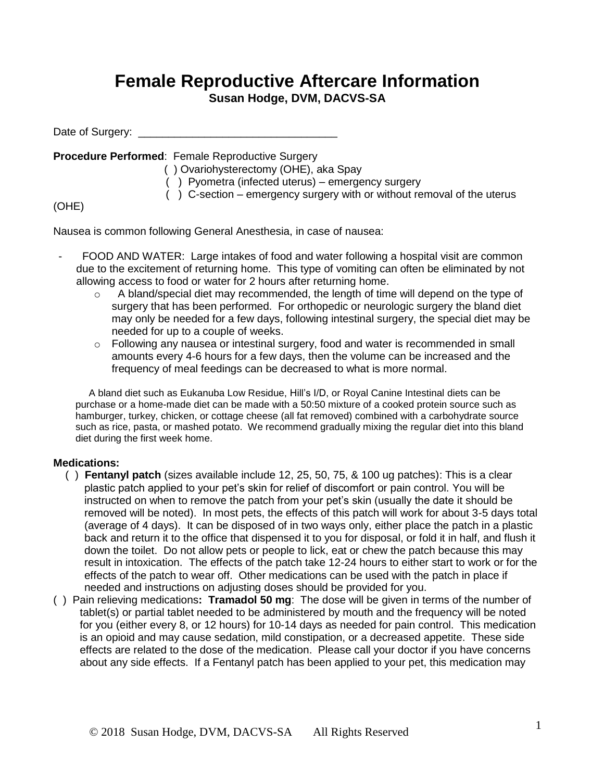## **Female Reproductive Aftercare Information**

**Susan Hodge, DVM, DACVS-SA**

Date of Surgery:

**Procedure Performed**: Female Reproductive Surgery

( ) Ovariohysterectomy (OHE), aka Spay

( ) Pyometra (infected uterus) – emergency surgery

( ) C-section – emergency surgery with or without removal of the uterus

## (OHE)

Nausea is common following General Anesthesia, in case of nausea:

- FOOD AND WATER: Large intakes of food and water following a hospital visit are common due to the excitement of returning home. This type of vomiting can often be eliminated by not allowing access to food or water for 2 hours after returning home.
	- $\circ$  A bland/special diet may recommended, the length of time will depend on the type of surgery that has been performed. For orthopedic or neurologic surgery the bland diet may only be needed for a few days, following intestinal surgery, the special diet may be needed for up to a couple of weeks.
	- $\circ$  Following any nausea or intestinal surgery, food and water is recommended in small amounts every 4-6 hours for a few days, then the volume can be increased and the frequency of meal feedings can be decreased to what is more normal.

A bland diet such as Eukanuba Low Residue, Hill's I/D, or Royal Canine Intestinal diets can be purchase or a home-made diet can be made with a 50:50 mixture of a cooked protein source such as hamburger, turkey, chicken, or cottage cheese (all fat removed) combined with a carbohydrate source such as rice, pasta, or mashed potato. We recommend gradually mixing the regular diet into this bland diet during the first week home.

## **Medications:**

- ( ) **Fentanyl patch** (sizes available include 12, 25, 50, 75, & 100 ug patches): This is a clear plastic patch applied to your pet's skin for relief of discomfort or pain control. You will be instructed on when to remove the patch from your pet's skin (usually the date it should be removed will be noted). In most pets, the effects of this patch will work for about 3-5 days total (average of 4 days). It can be disposed of in two ways only, either place the patch in a plastic back and return it to the office that dispensed it to you for disposal, or fold it in half, and flush it down the toilet. Do not allow pets or people to lick, eat or chew the patch because this may result in intoxication. The effects of the patch take 12-24 hours to either start to work or for the effects of the patch to wear off. Other medications can be used with the patch in place if needed and instructions on adjusting doses should be provided for you.
- ( ) Pain relieving medications**: Tramadol 50 mg**: The dose will be given in terms of the number of tablet(s) or partial tablet needed to be administered by mouth and the frequency will be noted for you (either every 8, or 12 hours) for 10-14 days as needed for pain control. This medication is an opioid and may cause sedation, mild constipation, or a decreased appetite. These side effects are related to the dose of the medication. Please call your doctor if you have concerns about any side effects. If a Fentanyl patch has been applied to your pet, this medication may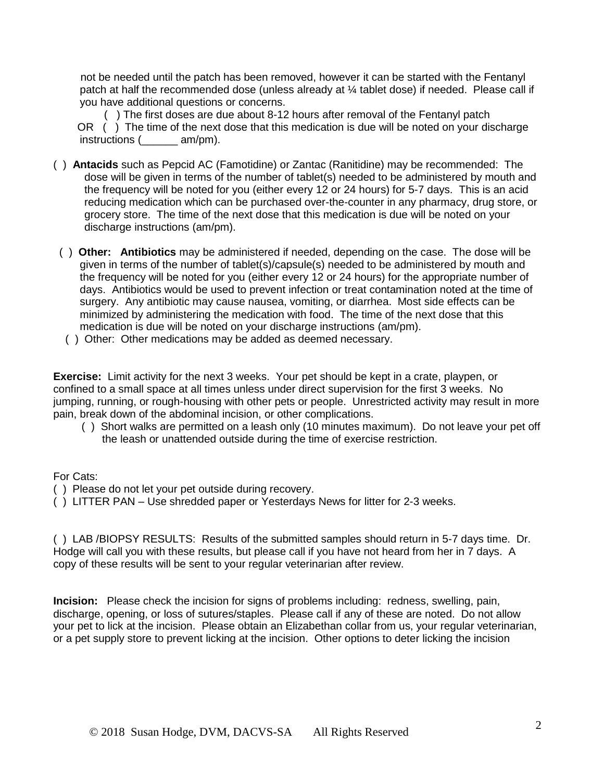not be needed until the patch has been removed, however it can be started with the Fentanyl patch at half the recommended dose (unless already at  $\frac{1}{4}$  tablet dose) if needed. Please call if you have additional questions or concerns.

 ( ) The first doses are due about 8-12 hours after removal of the Fentanyl patch OR () The time of the next dose that this medication is due will be noted on your discharge instructions (  $am/pm$ ).

- ( ) **Antacids** such as Pepcid AC (Famotidine) or Zantac (Ranitidine) may be recommended:The dose will be given in terms of the number of tablet(s) needed to be administered by mouth and the frequency will be noted for you (either every 12 or 24 hours) for 5-7 days. This is an acid reducing medication which can be purchased over-the-counter in any pharmacy, drug store, or grocery store. The time of the next dose that this medication is due will be noted on your discharge instructions (am/pm).
- ( ) **Other: Antibiotics** may be administered if needed, depending on the case. The dose will be given in terms of the number of tablet(s)/capsule(s) needed to be administered by mouth and the frequency will be noted for you (either every 12 or 24 hours) for the appropriate number of days. Antibiotics would be used to prevent infection or treat contamination noted at the time of surgery. Any antibiotic may cause nausea, vomiting, or diarrhea. Most side effects can be minimized by administering the medication with food. The time of the next dose that this medication is due will be noted on your discharge instructions (am/pm).
- ( ) Other: Other medications may be added as deemed necessary.

**Exercise:** Limit activity for the next 3 weeks. Your pet should be kept in a crate, playpen, or confined to a small space at all times unless under direct supervision for the first 3 weeks. No jumping, running, or rough-housing with other pets or people. Unrestricted activity may result in more pain, break down of the abdominal incision, or other complications.

 ( ) Short walks are permitted on a leash only (10 minutes maximum). Do not leave your pet off the leash or unattended outside during the time of exercise restriction.

## For Cats:

- ( ) Please do not let your pet outside during recovery.
- ( ) LITTER PAN Use shredded paper or Yesterdays News for litter for 2-3 weeks.

( ) LAB /BIOPSY RESULTS: Results of the submitted samples should return in 5-7 days time. Dr. Hodge will call you with these results, but please call if you have not heard from her in 7 days. A copy of these results will be sent to your regular veterinarian after review.

**Incision:** Please check the incision for signs of problems including: redness, swelling, pain, discharge, opening, or loss of sutures/staples. Please call if any of these are noted. Do not allow your pet to lick at the incision. Please obtain an Elizabethan collar from us, your regular veterinarian, or a pet supply store to prevent licking at the incision. Other options to deter licking the incision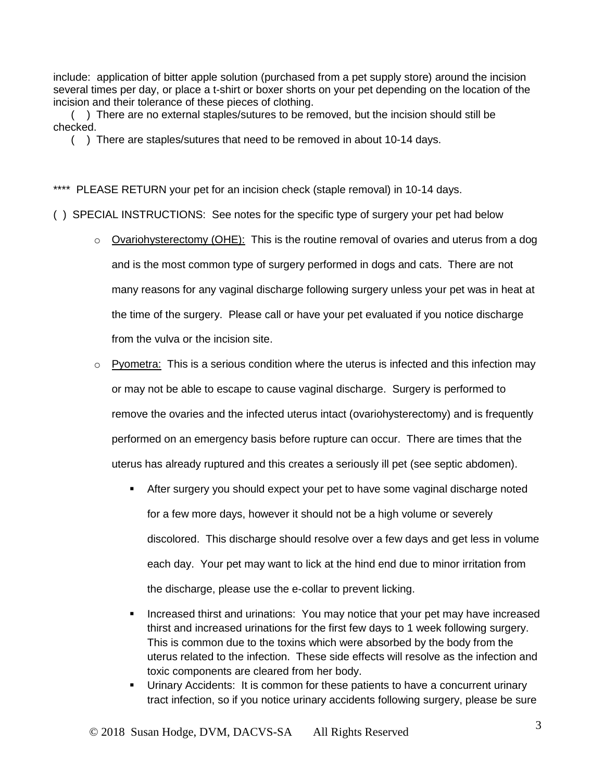include: application of bitter apple solution (purchased from a pet supply store) around the incision several times per day, or place a t-shirt or boxer shorts on your pet depending on the location of the incision and their tolerance of these pieces of clothing.

( ) There are no external staples/sutures to be removed, but the incision should still be checked.

( ) There are staples/sutures that need to be removed in about 10-14 days.

\*\*\*\* PLEASE RETURN your pet for an incision check (staple removal) in 10-14 days.

( ) SPECIAL INSTRUCTIONS: See notes for the specific type of surgery your pet had below

- $\circ$  Ovariohysterectomy (OHE): This is the routine removal of ovaries and uterus from a dog and is the most common type of surgery performed in dogs and cats. There are not many reasons for any vaginal discharge following surgery unless your pet was in heat at the time of the surgery. Please call or have your pet evaluated if you notice discharge from the vulva or the incision site.
- $\circ$  Pyometra: This is a serious condition where the uterus is infected and this infection may or may not be able to escape to cause vaginal discharge. Surgery is performed to remove the ovaries and the infected uterus intact (ovariohysterectomy) and is frequently performed on an emergency basis before rupture can occur. There are times that the uterus has already ruptured and this creates a seriously ill pet (see septic abdomen).
	- After surgery you should expect your pet to have some vaginal discharge noted for a few more days, however it should not be a high volume or severely discolored. This discharge should resolve over a few days and get less in volume each day. Your pet may want to lick at the hind end due to minor irritation from the discharge, please use the e-collar to prevent licking.
	- Increased thirst and urinations: You may notice that your pet may have increased thirst and increased urinations for the first few days to 1 week following surgery. This is common due to the toxins which were absorbed by the body from the uterus related to the infection. These side effects will resolve as the infection and toxic components are cleared from her body.
	- Urinary Accidents: It is common for these patients to have a concurrent urinary tract infection, so if you notice urinary accidents following surgery, please be sure